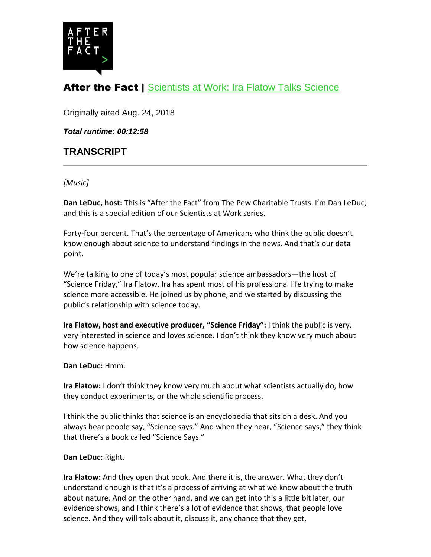

# After the Fact | [Scientists at Work: Ira Flatow Talks Science](http://www.pewtrusts.org/en/research-and-analysis/articles/2018/08/24/scientists-at-work-ira-flatow-talks-science)

Originally aired Aug. 24, 2018

*Total runtime: 00:12:58*

# **TRANSCRIPT**

# *[Music]*

**Dan LeDuc, host:** This is "After the Fact" from The Pew Charitable Trusts. I'm Dan LeDuc, and this is a special edition of our Scientists at Work series.

Forty-four percent. That's the percentage of Americans who think the public doesn't know enough about science to understand findings in the news. And that's our data point.

We're talking to one of today's most popular science ambassadors—the host of "Science Friday," Ira Flatow. Ira has spent most of his professional life trying to make science more accessible. He joined us by phone, and we started by discussing the public's relationship with science today.

**Ira Flatow, host and executive producer, "Science Friday":** I think the public is very, very interested in science and loves science. I don't think they know very much about how science happens.

#### **Dan LeDuc:** Hmm.

**Ira Flatow:** I don't think they know very much about what scientists actually do, how they conduct experiments, or the whole scientific process.

I think the public thinks that science is an encyclopedia that sits on a desk. And you always hear people say, "Science says." And when they hear, "Science says," they think that there's a book called "Science Says."

#### **Dan LeDuc:** Right.

**Ira Flatow:** And they open that book. And there it is, the answer. What they don't understand enough is that it's a process of arriving at what we know about the truth about nature. And on the other hand, and we can get into this a little bit later, our evidence shows, and I think there's a lot of evidence that shows, that people love science. And they will talk about it, discuss it, any chance that they get.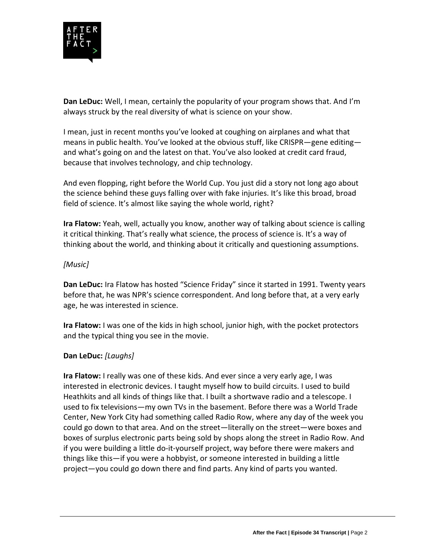

**Dan LeDuc:** Well, I mean, certainly the popularity of your program shows that. And I'm always struck by the real diversity of what is science on your show.

I mean, just in recent months you've looked at coughing on airplanes and what that means in public health. You've looked at the obvious stuff, like CRISPR—gene editing and what's going on and the latest on that. You've also looked at credit card fraud, because that involves technology, and chip technology.

And even flopping, right before the World Cup. You just did a story not long ago about the science behind these guys falling over with fake injuries. It's like this broad, broad field of science. It's almost like saying the whole world, right?

**Ira Flatow:** Yeah, well, actually you know, another way of talking about science is calling it critical thinking. That's really what science, the process of science is. It's a way of thinking about the world, and thinking about it critically and questioning assumptions.

# *[Music]*

**Dan LeDuc:** Ira Flatow has hosted "Science Friday" since it started in 1991. Twenty years before that, he was NPR's science correspondent. And long before that, at a very early age, he was interested in science.

**Ira Flatow:** I was one of the kids in high school, junior high, with the pocket protectors and the typical thing you see in the movie.

# **Dan LeDuc:** *[Laughs]*

**Ira Flatow:** I really was one of these kids. And ever since a very early age, I was interested in electronic devices. I taught myself how to build circuits. I used to build Heathkits and all kinds of things like that. I built a shortwave radio and a telescope. I used to fix televisions—my own TVs in the basement. Before there was a World Trade Center, New York City had something called Radio Row, where any day of the week you could go down to that area. And on the street—literally on the street—were boxes and boxes of surplus electronic parts being sold by shops along the street in Radio Row. And if you were building a little do-it-yourself project, way before there were makers and things like this—if you were a hobbyist, or someone interested in building a little project—you could go down there and find parts. Any kind of parts you wanted.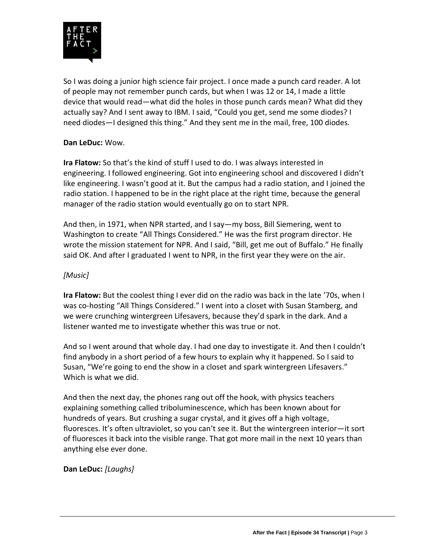

So I was doing a junior high science fair project. I once made a punch card reader. A lot of people may not remember punch cards, but when I was 12 or 14, I made a little device that would read—what did the holes in those punch cards mean? What did they actually say? And I sent away to IBM. I said, "Could you get, send me some diodes? I need diodes—I designed this thing." And they sent me in the mail, free, 100 diodes.

# **Dan LeDuc:** Wow.

**Ira Flatow:** So that's the kind of stuff I used to do. I was always interested in engineering. I followed engineering. Got into engineering school and discovered I didn't like engineering. I wasn't good at it. But the campus had a radio station, and I joined the radio station. I happened to be in the right place at the right time, because the general manager of the radio station would eventually go on to start NPR.

And then, in 1971, when NPR started, and I say—my boss, Bill Siemering, went to Washington to create "All Things Considered." He was the first program director. He wrote the mission statement for NPR. And I said, "Bill, get me out of Buffalo." He finally said OK. And after I graduated I went to NPR, in the first year they were on the air.

# *[Music]*

**Ira Flatow:** But the coolest thing I ever did on the radio was back in the late '70s, when I was co-hosting "All Things Considered." I went into a closet with Susan Stamberg, and we were crunching wintergreen Lifesavers, because they'd spark in the dark. And a listener wanted me to investigate whether this was true or not.

And so I went around that whole day. I had one day to investigate it. And then I couldn't find anybody in a short period of a few hours to explain why it happened. So I said to Susan, "We're going to end the show in a closet and spark wintergreen Lifesavers." Which is what we did.

And then the next day, the phones rang out off the hook, with physics teachers explaining something called triboluminescence, which has been known about for hundreds of years. But crushing a sugar crystal, and it gives off a high voltage, fluoresces. It's often ultraviolet, so you can't see it. But the wintergreen interior—it sort of fluoresces it back into the visible range. That got more mail in the next 10 years than anything else ever done.

# **Dan LeDuc:** *[Laughs]*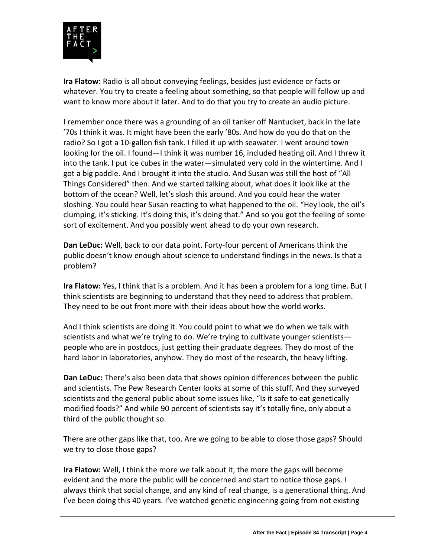

**Ira Flatow:** Radio is all about conveying feelings, besides just evidence or facts or whatever. You try to create a feeling about something, so that people will follow up and want to know more about it later. And to do that you try to create an audio picture.

I remember once there was a grounding of an oil tanker off Nantucket, back in the late '70s I think it was. It might have been the early '80s. And how do you do that on the radio? So I got a 10-gallon fish tank. I filled it up with seawater. I went around town looking for the oil. I found—I think it was number 16, included heating oil. And I threw it into the tank. I put ice cubes in the water—simulated very cold in the wintertime. And I got a big paddle. And I brought it into the studio. And Susan was still the host of "All Things Considered" then. And we started talking about, what does it look like at the bottom of the ocean? Well, let's slosh this around. And you could hear the water sloshing. You could hear Susan reacting to what happened to the oil. "Hey look, the oil's clumping, it's sticking. It's doing this, it's doing that." And so you got the feeling of some sort of excitement. And you possibly went ahead to do your own research.

**Dan LeDuc:** Well, back to our data point. Forty-four percent of Americans think the public doesn't know enough about science to understand findings in the news. Is that a problem?

**Ira Flatow:** Yes, I think that is a problem. And it has been a problem for a long time. But I think scientists are beginning to understand that they need to address that problem. They need to be out front more with their ideas about how the world works.

And I think scientists are doing it. You could point to what we do when we talk with scientists and what we're trying to do. We're trying to cultivate younger scientists people who are in postdocs, just getting their graduate degrees. They do most of the hard labor in laboratories, anyhow. They do most of the research, the heavy lifting.

**Dan LeDuc:** There's also been data that shows opinion differences between the public and scientists. The Pew Research Center looks at some of this stuff. And they surveyed scientists and the general public about some issues like, "Is it safe to eat genetically modified foods?" And while 90 percent of scientists say it's totally fine, only about a third of the public thought so.

There are other gaps like that, too. Are we going to be able to close those gaps? Should we try to close those gaps?

**Ira Flatow:** Well, I think the more we talk about it, the more the gaps will become evident and the more the public will be concerned and start to notice those gaps. I always think that social change, and any kind of real change, is a generational thing. And I've been doing this 40 years. I've watched genetic engineering going from not existing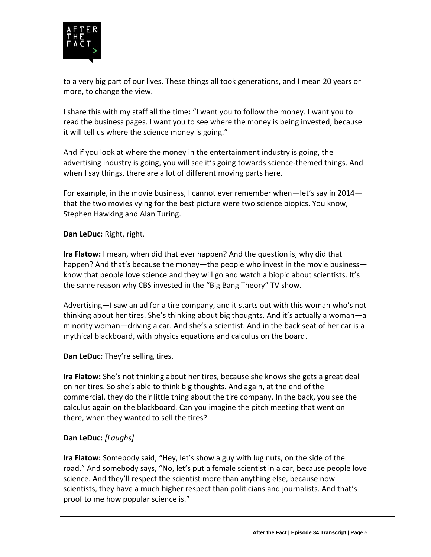

to a very big part of our lives. These things all took generations, and I mean 20 years or more, to change the view.

I share this with my staff all the time**:** "I want you to follow the money. I want you to read the business pages. I want you to see where the money is being invested, because it will tell us where the science money is going."

And if you look at where the money in the entertainment industry is going, the advertising industry is going, you will see it's going towards science-themed things. And when I say things, there are a lot of different moving parts here.

For example, in the movie business, I cannot ever remember when—let's say in 2014 that the two movies vying for the best picture were two science biopics. You know, Stephen Hawking and Alan Turing.

# **Dan LeDuc:** Right, right.

**Ira Flatow:** I mean, when did that ever happen? And the question is, why did that happen? And that's because the money—the people who invest in the movie business know that people love science and they will go and watch a biopic about scientists. It's the same reason why CBS invested in the "Big Bang Theory" TV show.

Advertising—I saw an ad for a tire company, and it starts out with this woman who's not thinking about her tires. She's thinking about big thoughts. And it's actually a woman—a minority woman—driving a car. And she's a scientist. And in the back seat of her car is a mythical blackboard, with physics equations and calculus on the board.

**Dan LeDuc:** They're selling tires.

**Ira Flatow:** She's not thinking about her tires, because she knows she gets a great deal on her tires. So she's able to think big thoughts. And again, at the end of the commercial, they do their little thing about the tire company. In the back, you see the calculus again on the blackboard. Can you imagine the pitch meeting that went on there, when they wanted to sell the tires?

# **Dan LeDuc:** *[Laughs]*

**Ira Flatow:** Somebody said, "Hey, let's show a guy with lug nuts, on the side of the road." And somebody says, "No, let's put a female scientist in a car, because people love science. And they'll respect the scientist more than anything else, because now scientists, they have a much higher respect than politicians and journalists. And that's proof to me how popular science is."